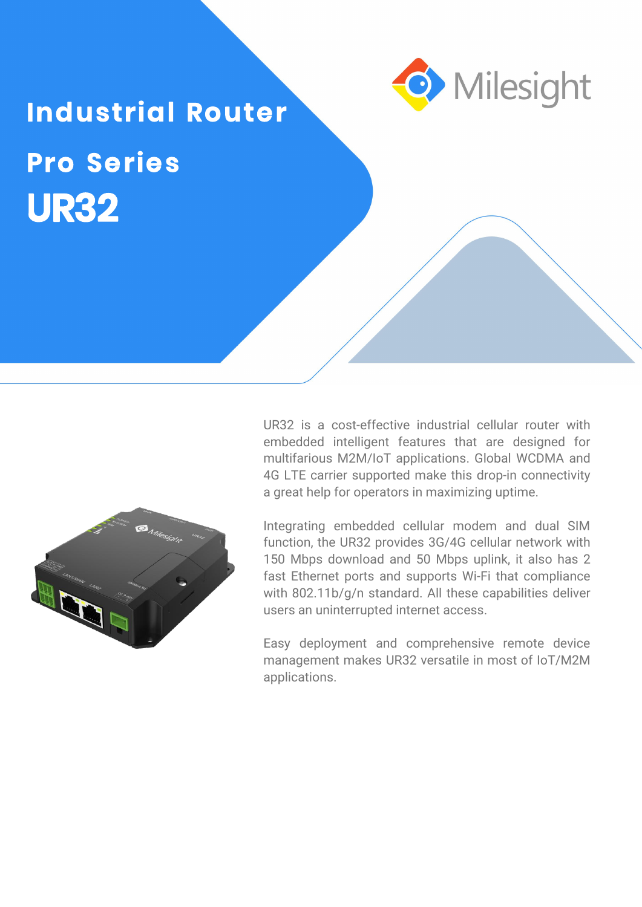

# **UR32 Pro Series**



UR32 is a cost-effective industrial cellular router with embedded intelligent features that are designed for multifarious M2M/IoT applications. Global WCDMA and 4G LTE carrier supported make this drop-in connectivity a great help for operators in maximizing uptime.

Integrating embedded cellular modem and dual SIM function, the UR32 provides 3G/4G cellular network with 150 Mbps download and 50 Mbps uplink, it also has 2 fast Ethernet ports and supports Wi-Fi that compliance with 802.11b/g/n standard. All these capabilities deliver users an uninterrupted internet access.

Easy deployment and comprehensive remote device management makes UR32 versatile in most of IoT/M2M applications.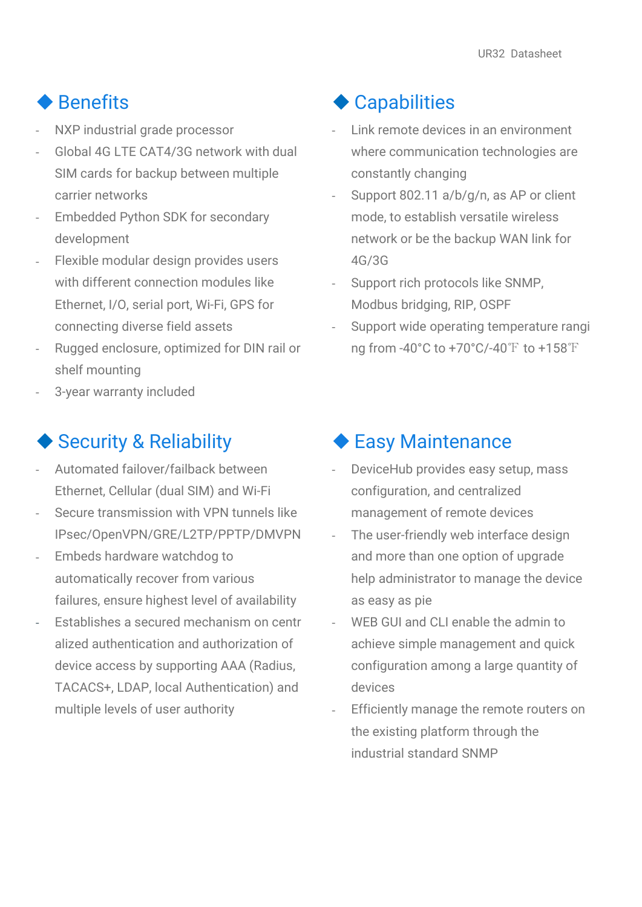#### ◆ Benefits

- NXP industrial grade processor
- Global 4G LTE CAT4/3G network with dual SIM cards for backup between multiple carrier networks
- Embedded Python SDK for secondary development
- Flexible modular design provides users with different connection modules like Ethernet, I/O, serial port, Wi-Fi, GPS for connecting diverse field assets
- Rugged enclosure, optimized for DIN rail or shelf mounting
- 3-year warranty included

#### ◆ Security & Reliability

- Automated failover/failback between Ethernet, Cellular (dual SIM) and Wi-Fi
- Secure transmission with VPN tunnels like IPsec/OpenVPN/GRE/L2TP/PPTP/DMVPN
- Embeds hardware watchdog to automatically recover from various failures, ensure highest level of availability
- Establishes a secured mechanism on centr alized authentication and authorization of device access by supporting AAA (Radius, TACACS+, LDAP, local Authentication) and multiple levels of user authority

#### ◆ Capabilities

- Link remote devices in an environment where communication technologies are constantly changing
- Support 802.11 a/b/g/n, as AP or client mode, to establish versatile wireless network or be the backup WAN link for 4G/3G
- Support rich protocols like SNMP, Modbus bridging, RIP, OSPF
- Support wide operating temperature rangi ng from -40°C to +70°C/-40℉ to +158℉

#### ◆ Easy Maintenance

- DeviceHub provides easy setup, mass configuration, and centralized management of remote devices
- The user-friendly web interface design and more than one option of upgrade help administrator to manage the device as easy as pie
- WFB GUI and CLI enable the admin to achieve simple management and quick configuration among a large quantity of devices
- Efficiently manage the remote routers on the existing platform through the industrial standard SNMP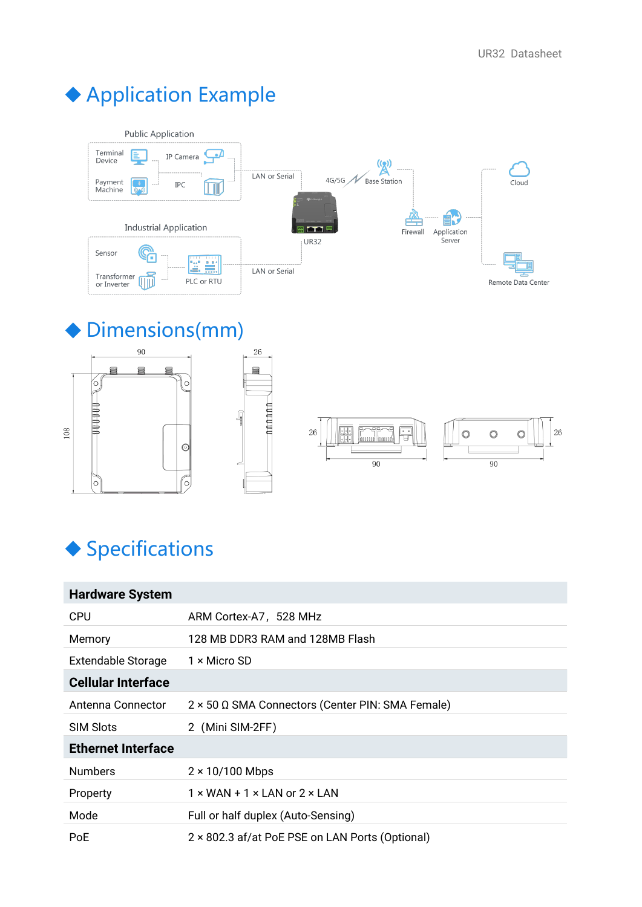## Application Example



26

⋚

**nnnnnn** 

### Dimensions(mm)







## ◆ Specifications

| <b>Hardware System</b>    |                                                   |
|---------------------------|---------------------------------------------------|
| <b>CPU</b>                | ARM Cortex-A7, 528 MHz                            |
| Memory                    | 128 MB DDR3 RAM and 128MB Flash                   |
| <b>Extendable Storage</b> | $1 \times$ Micro SD                               |
| <b>Cellular Interface</b> |                                                   |
| Antenna Connector         | 2 × 50 Ω SMA Connectors (Center PIN: SMA Female)  |
| <b>SIM Slots</b>          | 2 (Mini SIM-2FF)                                  |
| <b>Ethernet Interface</b> |                                                   |
| <b>Numbers</b>            | $2 \times 10/100$ Mbps                            |
| Property                  | $1 \times$ WAN + 1 $\times$ LAN or 2 $\times$ LAN |
| Mode                      | Full or half duplex (Auto-Sensing)                |
| <b>PoE</b>                | 2 × 802.3 af/at PoE PSE on LAN Ports (Optional)   |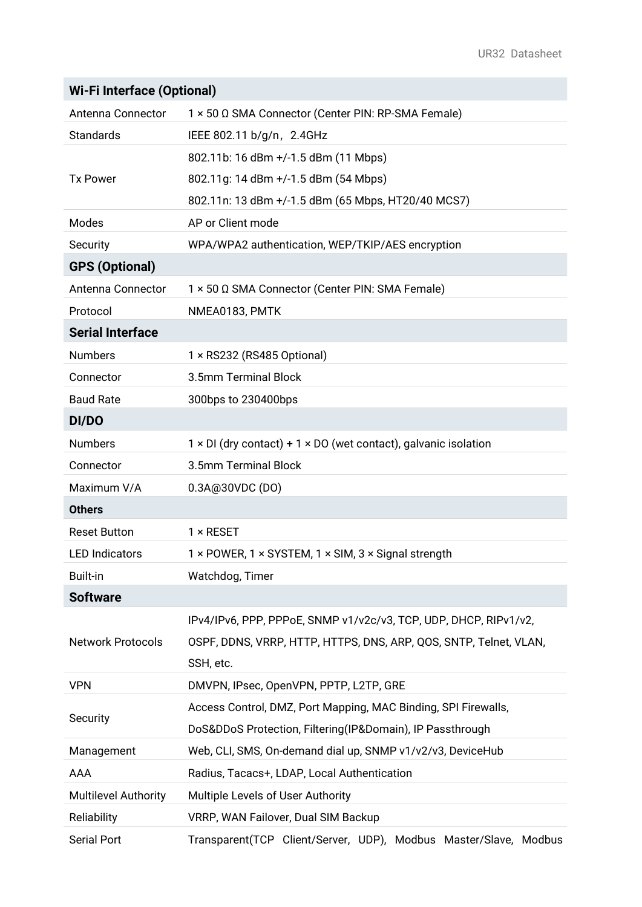| <b>Wi-Fi Interface (Optional)</b> |  |  |
|-----------------------------------|--|--|
|-----------------------------------|--|--|

| Antenna Connector           | 1 × 50 Ω SMA Connector (Center PIN: RP-SMA Female)                |
|-----------------------------|-------------------------------------------------------------------|
| Standards                   | IEEE 802.11 b/g/n, 2.4GHz                                         |
|                             | 802.11b: 16 dBm +/-1.5 dBm (11 Mbps)                              |
| <b>Tx Power</b>             | 802.11g: 14 dBm +/-1.5 dBm (54 Mbps)                              |
|                             | 802.11n: 13 dBm +/-1.5 dBm (65 Mbps, HT20/40 MCS7)                |
| Modes                       | AP or Client mode                                                 |
| Security                    | WPA/WPA2 authentication, WEP/TKIP/AES encryption                  |
| <b>GPS (Optional)</b>       |                                                                   |
| Antenna Connector           | 1 × 50 Ω SMA Connector (Center PIN: SMA Female)                   |
| Protocol                    | NMEA0183, PMTK                                                    |
| <b>Serial Interface</b>     |                                                                   |
| <b>Numbers</b>              | 1 × RS232 (RS485 Optional)                                        |
| Connector                   | 3.5mm Terminal Block                                              |
| <b>Baud Rate</b>            | 300bps to 230400bps                                               |
| DI/DO                       |                                                                   |
| <b>Numbers</b>              | 1 × DI (dry contact) + 1 × DO (wet contact), galvanic isolation   |
| Connector                   | 3.5mm Terminal Block                                              |
| Maximum V/A                 | 0.3A@30VDC (DO)                                                   |
| <b>Others</b>               |                                                                   |
| <b>Reset Button</b>         | $1 \times$ RESET                                                  |
| <b>LED Indicators</b>       | 1 × POWER, 1 × SYSTEM, 1 × SIM, 3 × Signal strength               |
| <b>Built-in</b>             | Watchdog, Timer                                                   |
| <b>Software</b>             |                                                                   |
|                             | IPv4/IPv6, PPP, PPPoE, SNMP v1/v2c/v3, TCP, UDP, DHCP, RIPv1/v2,  |
| <b>Network Protocols</b>    | OSPF, DDNS, VRRP, HTTP, HTTPS, DNS, ARP, QOS, SNTP, Telnet, VLAN, |
|                             | SSH, etc.                                                         |
| <b>VPN</b>                  | DMVPN, IPsec, OpenVPN, PPTP, L2TP, GRE                            |
|                             | Access Control, DMZ, Port Mapping, MAC Binding, SPI Firewalls,    |
| Security                    | DoS&DDoS Protection, Filtering(IP&Domain), IP Passthrough         |
| Management                  | Web, CLI, SMS, On-demand dial up, SNMP v1/v2/v3, DeviceHub        |
| <b>AAA</b>                  | Radius, Tacacs+, LDAP, Local Authentication                       |
| <b>Multilevel Authority</b> | Multiple Levels of User Authority                                 |
| Reliability                 | VRRP, WAN Failover, Dual SIM Backup                               |
| <b>Serial Port</b>          | Transparent(TCP Client/Server, UDP), Modbus Master/Slave, Modbus  |